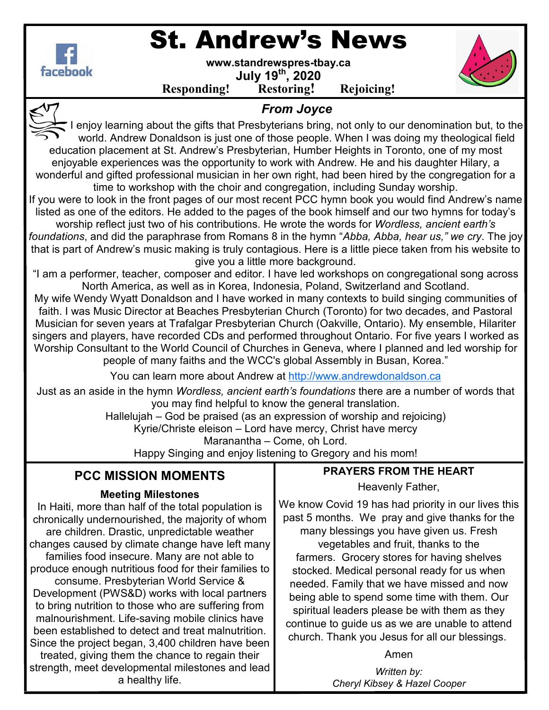

## St. Andrew's News

**www.standrewspres-tbay.ca July 19th, 2020** 

**Responding! Restoring! Rejoicing!**